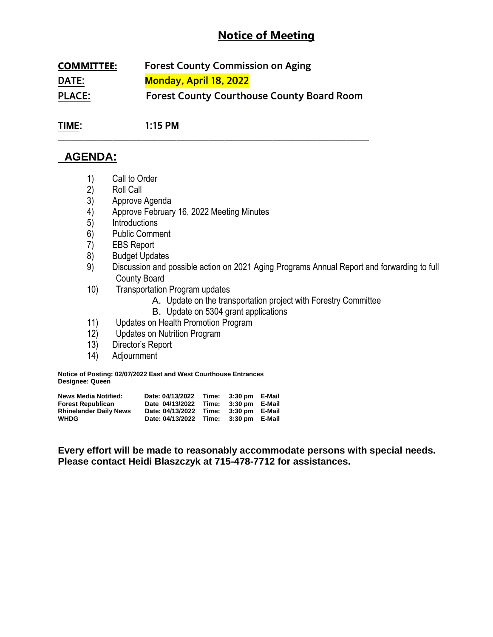# **Notice of Meeting**

| <b>COMMITTEE:</b> | <b>Forest County Commission on Aging</b>          |  |  |  |
|-------------------|---------------------------------------------------|--|--|--|
| DATE:             | <b>Monday, April 18, 2022</b>                     |  |  |  |
| <b>PLACE:</b>     | <b>Forest County Courthouse County Board Room</b> |  |  |  |

**\_\_\_\_\_\_\_\_\_\_\_\_\_\_\_\_\_\_\_\_\_\_\_\_\_\_\_\_\_\_\_\_\_\_\_\_\_\_\_\_\_\_\_\_\_\_\_\_\_\_\_\_\_\_\_\_\_\_\_\_\_\_\_\_\_\_\_\_\_\_\_\_\_\_\_\_\_\_\_\_\_\_\_\_\_\_\_\_\_\_\_\_\_\_\_\_\_**

**TIME: 1:15 PM**

## **AGENDA:**

- 1) Call to Order
- 
- 2) Roll Call<br>3) Approve Approve Agenda
- 4) Approve February 16, 2022 Meeting Minutes
- 5) Introductions
- 6) Public Comment
- 7) EBS Report
- 8) Budget Updates
- 9) Discussion and possible action on 2021 Aging Programs Annual Report and forwarding to full County Board
- 10) Transportation Program updates
	- A. Update on the transportation project with Forestry Committee
	- B. Update on 5304 grant applications
- 11) Updates on Health Promotion Program
- 12) Updates on Nutrition Program
- 13) Director's Report
- 14) Adjournment

**Notice of Posting: 02/07/2022 East and West Courthouse Entrances Designee: Queen**

| <b>News Media Notified:</b>   | Date: 04/13/2022                      | Time: 3:30 pm E-Mail |  |
|-------------------------------|---------------------------------------|----------------------|--|
| <b>Forest Republican</b>      | Date 04/13/2022 Time: 3:30 pm E-Mail  |                      |  |
| <b>Rhinelander Daily News</b> | Date: 04/13/2022 Time: 3:30 pm E-Mail |                      |  |
| <b>WHDG</b>                   | Date: 04/13/2022 Time: 3:30 pm E-Mail |                      |  |

**Every effort will be made to reasonably accommodate persons with special needs. Please contact Heidi Blaszczyk at 715-478-7712 for assistances.**